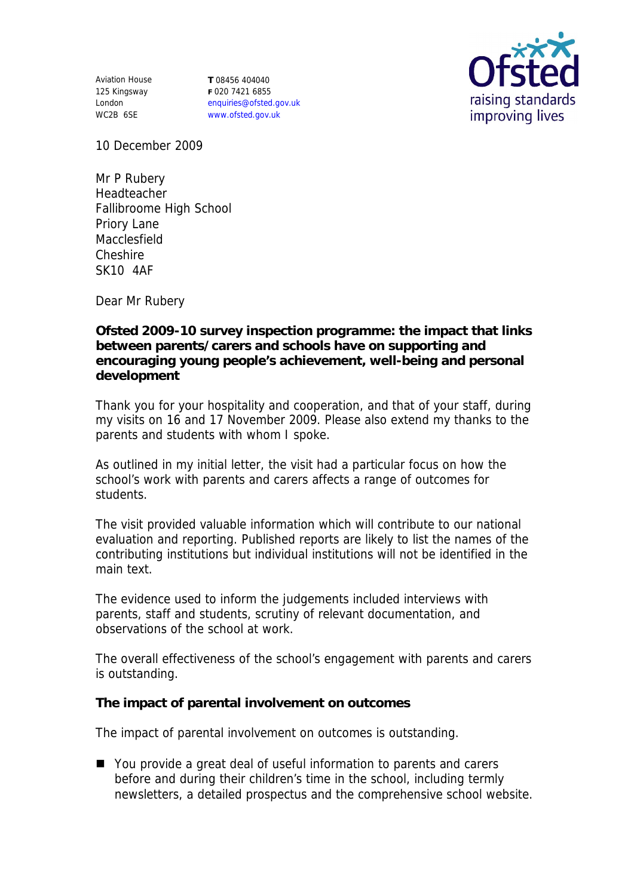Aviation House 125 Kingsway London WC2B 6SE

**T** 08456 404040 **F** 020 7421 6855 enquiries@ofsted.gov.uk www.ofsted.gov.uk



10 December 2009

Mr P Rubery Headteacher Fallibroome High School Priory Lane Macclesfield Cheshire SK10 4AF

Dear Mr Rubery

**Ofsted 2009-10 survey inspection programme: the impact that links between parents/carers and schools have on supporting and encouraging young people's achievement, well-being and personal development**

Thank you for your hospitality and cooperation, and that of your staff, during my visits on 16 and 17 November 2009. Please also extend my thanks to the parents and students with whom I spoke.

As outlined in my initial letter, the visit had a particular focus on how the school's work with parents and carers affects a range of outcomes for students.

The visit provided valuable information which will contribute to our national evaluation and reporting. Published reports are likely to list the names of the contributing institutions but individual institutions will not be identified in the main text.

The evidence used to inform the judgements included interviews with parents, staff and students, scrutiny of relevant documentation, and observations of the school at work.

The overall effectiveness of the school's engagement with parents and carers is outstanding.

**The impact of parental involvement on outcomes**

The impact of parental involvement on outcomes is outstanding.

■ You provide a great deal of useful information to parents and carers before and during their children's time in the school, including termly newsletters, a detailed prospectus and the comprehensive school website.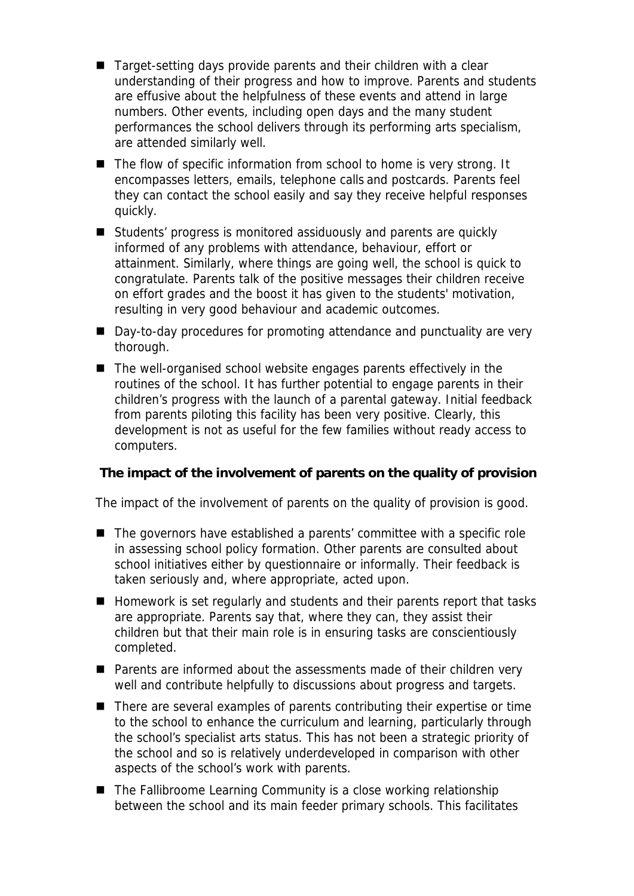- Target-setting days provide parents and their children with a clear understanding of their progress and how to improve. Parents and students are effusive about the helpfulness of these events and attend in large numbers. Other events, including open days and the many student performances the school delivers through its performing arts specialism, are attended similarly well.
- The flow of specific information from school to home is very strong. It encompasses letters, emails, telephone calls and postcards. Parents feel they can contact the school easily and say they receive helpful responses quickly.
- Students' progress is monitored assiduously and parents are quickly informed of any problems with attendance, behaviour, effort or attainment. Similarly, where things are going well, the school is quick to congratulate. Parents talk of the positive messages their children receive on effort grades and the boost it has given to the students' motivation, resulting in very good behaviour and academic outcomes.
- Day-to-day procedures for promoting attendance and punctuality are very thorough.
- $\blacksquare$  The well-organised school website engages parents effectively in the routines of the school. It has further potential to engage parents in their children's progress with the launch of a parental gateway. Initial feedback from parents piloting this facility has been very positive. Clearly, this development is not as useful for the few families without ready access to computers.

**The impact of the involvement of parents on the quality of provision**

The impact of the involvement of parents on the quality of provision is good.

- The governors have established a parents' committee with a specific role in assessing school policy formation. Other parents are consulted about school initiatives either by questionnaire or informally. Their feedback is taken seriously and, where appropriate, acted upon.
- Homework is set regularly and students and their parents report that tasks are appropriate. Parents say that, where they can, they assist their children but that their main role is in ensuring tasks are conscientiously completed.
- Parents are informed about the assessments made of their children very well and contribute helpfully to discussions about progress and targets.
- There are several examples of parents contributing their expertise or time to the school to enhance the curriculum and learning, particularly through the school's specialist arts status. This has not been a strategic priority of the school and so is relatively underdeveloped in comparison with other aspects of the school's work with parents.
- $\blacksquare$  The Fallibroome Learning Community is a close working relationship between the school and its main feeder primary schools. This facilitates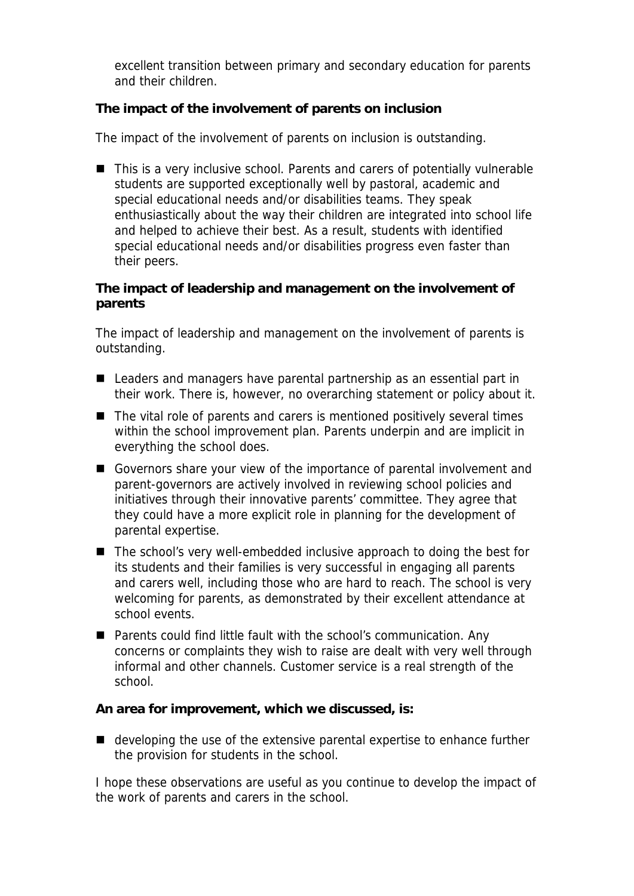excellent transition between primary and secondary education for parents and their children.

**The impact of the involvement of parents on inclusion**

The impact of the involvement of parents on inclusion is outstanding.

■ This is a very inclusive school. Parents and carers of potentially vulnerable students are supported exceptionally well by pastoral, academic and special educational needs and/or disabilities teams. They speak enthusiastically about the way their children are integrated into school life and helped to achieve their best. As a result, students with identified special educational needs and/or disabilities progress even faster than their peers.

**The impact of leadership and management on the involvement of parents**

The impact of leadership and management on the involvement of parents is outstanding.

- Leaders and managers have parental partnership as an essential part in their work. There is, however, no overarching statement or policy about it.
- The vital role of parents and carers is mentioned positively several times within the school improvement plan. Parents underpin and are implicit in everything the school does.
- Governors share your view of the importance of parental involvement and parent-governors are actively involved in reviewing school policies and initiatives through their innovative parents' committee. They agree that they could have a more explicit role in planning for the development of parental expertise.
- The school's very well-embedded inclusive approach to doing the best for its students and their families is very successful in engaging all parents and carers well, including those who are hard to reach. The school is very welcoming for parents, as demonstrated by their excellent attendance at school events.
- Parents could find little fault with the school's communication. Any concerns or complaints they wish to raise are dealt with very well through informal and other channels. Customer service is a real strength of the school.

**An area for improvement, which we discussed, is:**

■ developing the use of the extensive parental expertise to enhance further the provision for students in the school.

I hope these observations are useful as you continue to develop the impact of the work of parents and carers in the school.